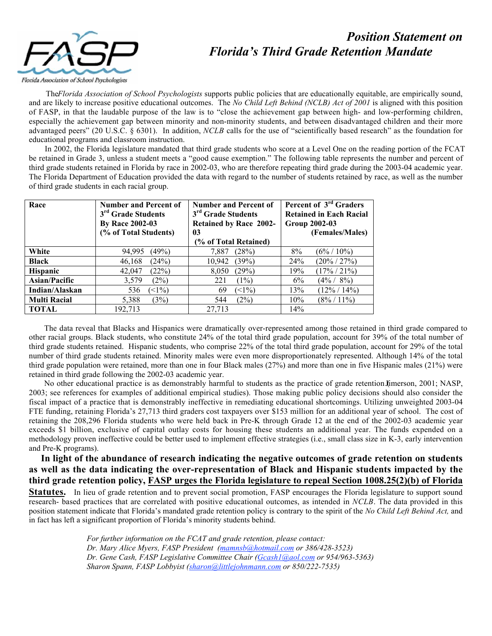## *Position Statement on Florida's Third Grade Retention Mandate*



 The *Florida Association of School Psychologists* supports public policies that are educationally equitable, are empirically sound, and are likely to increase positive educational outcomes. The *No Child Left Behind (NCLB) Act of 2001* is aligned with this position of FASP, in that the laudable purpose of the law is to "close the achievement gap between high- and low-performing children, especially the achievement gap between minority and non-minority students, and between disadvantaged children and their more advantaged peers" (20 U.S.C. § 6301). In addition, *NCLB* calls for the use of "scientifically based research" as the foundation for educational programs and classroom instruction.

 In 2002, the Florida legislature mandated that third grade students who score at a Level One on the reading portion of the FCAT be retained in Grade 3, unless a student meets a "good cause exemption." The following table represents the number and percent of third grade students retained in Florida by race in 2002-03, who are therefore repeating third grade during the 2003-04 academic year. The Florida Department of Education provided the data with regard to the number of students retained by race, as well as the number of third grade students in each racial group.

| Race                 | <b>Number and Percent of</b>   | <b>Number and Percent of</b>   | Percent of 3 <sup>rd</sup> Graders |
|----------------------|--------------------------------|--------------------------------|------------------------------------|
|                      | 3 <sup>rd</sup> Grade Students | 3 <sup>rd</sup> Grade Students | <b>Retained in Each Racial</b>     |
|                      | <b>By Race 2002-03</b>         | <b>Retained by Race 2002-</b>  | <b>Group 2002-03</b>               |
|                      | (% of Total Students)          | 03                             | (Females/Males)                    |
|                      |                                | (% of Total Retained)          |                                    |
| White                | (49%)                          | 7,887                          | 8%                                 |
|                      | 94,995                         | (28%)                          | $(6\% / 10\%)$                     |
| <b>Black</b>         | (24%)                          | (39%)                          | $(20\% / 27\%)$                    |
|                      | 46,168                         | 10,942                         | 24%                                |
| Hispanic             | (22%)                          | (29%)                          | $(17\% / 21\%)$                    |
|                      | 42,047                         | 8,050                          | 19%                                |
| <b>Asian/Pacific</b> | (2%)                           | 221                            | $(4\% / 8\%)$                      |
|                      | 3,579                          | (1%)                           | 6%                                 |
| Indian/Alaskan       | $\leq$ 1%)                     | $(1\%)$                        | 13%                                |
|                      | 536                            | 69                             | $(12\% / 14\%)$                    |
| <b>Multi Racial</b>  | (3%)                           | (2%)                           | 10%                                |
|                      | 5,388                          | 544                            | $(8\% / 11\%)$                     |
| <b>TOTAL</b>         | 192,713                        | 27,713                         | 14%                                |

 The data reveal that Blacks and Hispanics were dramatically over-represented among those retained in third grade compared to other racial groups. Black students, who constitute 24% of the total third grade population, account for 39% of the total number of third grade students retained. Hispanic students, who comprise 22% of the total third grade population, account for 29% of the total number of third grade students retained. Minority males were even more disproportionately represented. Although 14% of the total third grade population were retained, more than one in four Black males (27%) and more than one in five Hispanic males (21%) were retained in third grade following the 2002-03 academic year.

No other educational practice is as demonstrably harmful to students as the practice of grade retention Jimerson, 2001; NASP, 2003; see references for examples of additional empirical studies). Those making public policy decisions should also consider the fiscal impact of a practice that is demonstrably ineffective in remediating educational shortcomings. Utilizing unweighted 2003-04 FTE funding, retaining Florida's 27,713 third graders cost taxpayers over \$153 million for an additional year of school. The cost of retaining the 208,296 Florida students who were held back in Pre-K through Grade 12 at the end of the 2002-03 academic year exceeds \$1 billion, exclusive of capital outlay costs for housing these students an additional year. The funds expended on a methodology proven ineffective could be better used to implement effective strategies (i.e., small class size in K-3, early intervention and Pre-K programs).

 In light of the abundance of research indicating the negative outcomes of grade retention on students as well as the data indicating the over-representation of Black and Hispanic students impacted by the third grade retention policy, FASP urges the Florida legislature to repeal Section 1008.25(2)(b) of Florida

Statutes. In lieu of grade retention and to prevent social promotion, FASP encourages the Florida legislature to support sound research- based practices that are correlated with positive educational outcomes, as intended in *NCLB*. The data provided in this position statement indicate that Florida's mandated grade retention policy is contrary to the spirit of the *No Child Left Behind Act,* and in fact has left a significant proportion of Florida's minority students behind.

> *For further information on the FCAT and grade retention, please contact: Dr. Mary Alice Myers, FASP President (mamnsb@hotmail.com or 386/428-3523) Dr. Gene Cash, FASP Legislative Committee Chair (Gcash1@aol.com or 954/963-5363) Sharon Spann, FASP Lobbyist (sharon@littlejohnmann.com or 850/222-7535)*